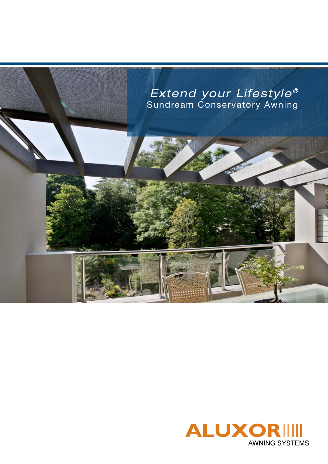

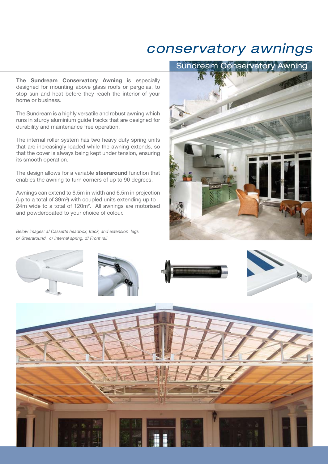## *conservatory awnings*

**The Sundream Conservatory Awning** is especially designed for mounting above glass roofs or pergolas, to stop sun and heat before they reach the interior of your home or business.

The Sundream is a highly versatile and robust awning which runs in sturdy aluminium guide tracks that are designed for durability and maintenance free operation.

The internal roller system has two heavy duty spring units that are increasingly loaded while the awning extends, so that the cover is always being kept under tension, ensuring its smooth operation.

The design allows for a variable **steeraround** function that enables the awning to turn corners of up to 90 degrees.

Awnings can extend to 6.5m in width and 6.5m in projection (up to a total of 39m²) with coupled units extending up to 24m wide to a total of 120m². All awnings are motorised and powdercoated to your choice of colour.

*Below images: a/ Cassette headbox, track, and extension legs b/ Steeraround, c/ Internal spring, d/ Front rail*



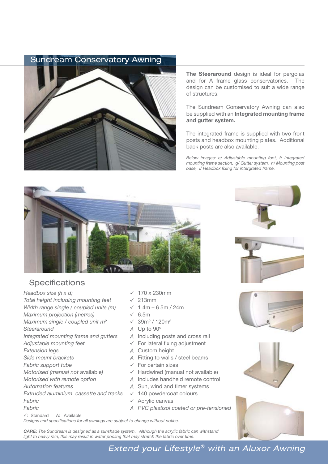## Sundream Conservatory Awning



**The Steeraround** design is ideal for pergolas and for A frame glass conservatories. The design can be customised to suit a wide range of structures.

The Sundream Conservatory Awning can also be supplied with an **Integrated mounting frame and gutter system.**

The integrated frame is supplied with two front posts and headbox mounting plates. Additional back posts are also available.

*Below images: e/ Adjustable mounting foot, f/ Integrated mounting frame section, g/ Gutter system, h/ Mounting post base, i/ Headbox fixing for intergrated frame.*



## **Specifications**

- *Headbox size (h x d)* 170 x 230mm *Total height including mounting feet* 213mm *Width range single / coupled units (m)*  $\checkmark$  1.4m − 6.5m / 24m *Maximum projection (metres)* ↓ 6.5m *Maximum single / coupled unit m<sup>2</sup>*  $\checkmark$  39m<sup>2</sup> / 120m<sup>2</sup> *Steeraround A* Up to 90º *Integrated mounting frame and gutters* Adjustable mounting feet **Adjustable mounting feet Research Section** For lateral fixing adjustment *Extension legs A* Custom height *Side mount brackets A* Fitting to walls / steel beams *Fabric support tube* ★ For certain sizes *Motorised (manual not available)*  $\checkmark$  Hardwired (manual not available) *Motorised with remote option A* Includes handheld remote control *Automation features A* Sun, wind and timer systems *Extruded aluminium cassette and tracks √* 140 powdercoat colours *Fabric* **Acrylic canvas** *√* Acrylic canvas
- -
	-
	-
	-
	-
	-
	-
	-
	-
	-
	-
	-
	-
	-
	-
- *Fabric A PVC plastisol coated or pre-tensioned*

: Standard A: Available

*Designs and specifications for all awnings are subject to change without notice.*

*CARE: The Sundream is designed as a sunshade system. Although the acrylic fabric can withstand light to heavy rain, this may result in water pooling that may stretch the fabric over time.*









*Extend your Lifestyle® with an Aluxor Awning*